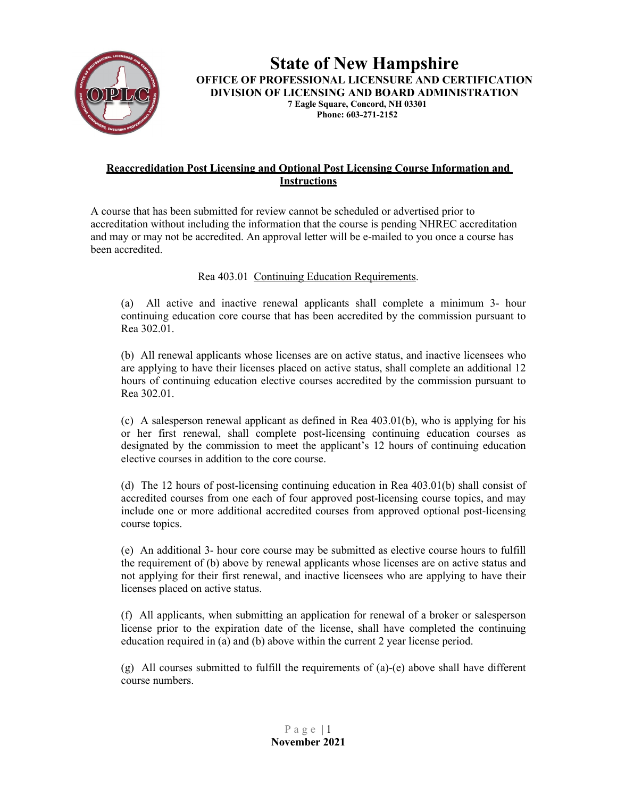

### **State of New Hampshire OFFICE OF PROFESSIONAL LICENSURE AND CERTIFICATION DIVISION OF LICENSING AND BOARD ADMINISTRATION 7 Eagle Square, Concord, NH 03301 Phone: 603-271-2152**

### **Reaccredidation Post Licensing and Optional Post Licensing Course Information and Instructions**

A course that has been submitted for review cannot be scheduled or advertised prior to accreditation without including the information that the course is pending NHREC accreditation and may or may not be accredited. An approval letter will be e-mailed to you once a course has been accredited.

### Rea 403.01 Continuing Education Requirements.

(a) All active and inactive renewal applicants shall complete a minimum 3- hour continuing education core course that has been accredited by the commission pursuant to Rea 302.01.

(b) All renewal applicants whose licenses are on active status, and inactive licensees who are applying to have their licenses placed on active status, shall complete an additional 12 hours of continuing education elective courses accredited by the commission pursuant to Rea 302.01.

(c) A salesperson renewal applicant as defined in Rea 403.01(b), who is applying for his or her first renewal, shall complete post-licensing continuing education courses as designated by the commission to meet the applicant's 12 hours of continuing education elective courses in addition to the core course.

(d) The 12 hours of post-licensing continuing education in Rea 403.01(b) shall consist of accredited courses from one each of four approved post-licensing course topics, and may include one or more additional accredited courses from approved optional post-licensing course topics.

(e) An additional 3- hour core course may be submitted as elective course hours to fulfill the requirement of (b) above by renewal applicants whose licenses are on active status and not applying for their first renewal, and inactive licensees who are applying to have their licenses placed on active status.

(f) All applicants, when submitting an application for renewal of a broker or salesperson license prior to the expiration date of the license, shall have completed the continuing education required in (a) and (b) above within the current 2 year license period.

(g) All courses submitted to fulfill the requirements of  $(a)-(e)$  above shall have different course numbers.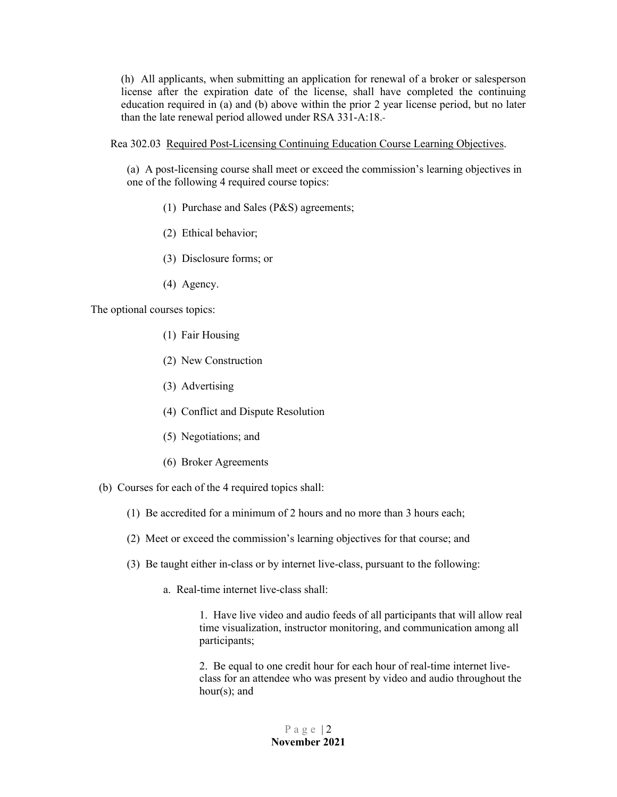(h) All applicants, when submitting an application for renewal of a broker or salesperson license after the expiration date of the license, shall have completed the continuing education required in (a) and (b) above within the prior 2 year license period, but no later than the late renewal period allowed under RSA 331-A:18.

Rea 302.03 Required Post-Licensing Continuing Education Course Learning Objectives.

(a) A post-licensing course shall meet or exceed the commission's learning objectives in one of the following 4 required course topics:

- (1) Purchase and Sales (P&S) agreements;
- (2) Ethical behavior;
- (3) Disclosure forms; or
- (4) Agency.

The optional courses topics:

- (1) Fair Housing
- (2) New Construction
- (3) Advertising
- (4) Conflict and Dispute Resolution
- (5) Negotiations; and
- (6) Broker Agreements

(b) Courses for each of the 4 required topics shall:

- (1) Be accredited for a minimum of 2 hours and no more than 3 hours each;
- (2) Meet or exceed the commission's learning objectives for that course; and
- (3) Be taught either in-class or by internet live-class, pursuant to the following:
	- a. Real-time internet live-class shall:

1. Have live video and audio feeds of all participants that will allow real time visualization, instructor monitoring, and communication among all participants;

2. Be equal to one credit hour for each hour of real-time internet liveclass for an attendee who was present by video and audio throughout the hour(s); and

> Page  $|2$ **November 2021**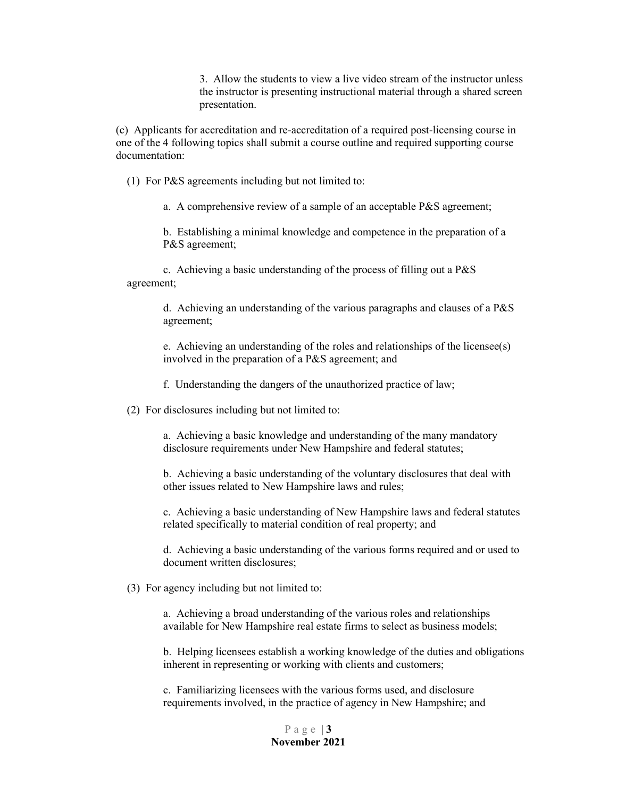3. Allow the students to view a live video stream of the instructor unless the instructor is presenting instructional material through a shared screen presentation.

(c) Applicants for accreditation and re-accreditation of a required post-licensing course in one of the 4 following topics shall submit a course outline and required supporting course documentation:

(1) For P&S agreements including but not limited to:

a. A comprehensive review of a sample of an acceptable P&S agreement;

b. Establishing a minimal knowledge and competence in the preparation of a P&S agreement;

c. Achieving a basic understanding of the process of filling out a P&S agreement;

> d. Achieving an understanding of the various paragraphs and clauses of a P&S agreement;

> e. Achieving an understanding of the roles and relationships of the licensee(s) involved in the preparation of a P&S agreement; and

f. Understanding the dangers of the unauthorized practice of law;

(2) For disclosures including but not limited to:

a. Achieving a basic knowledge and understanding of the many mandatory disclosure requirements under New Hampshire and federal statutes;

b. Achieving a basic understanding of the voluntary disclosures that deal with other issues related to New Hampshire laws and rules;

c. Achieving a basic understanding of New Hampshire laws and federal statutes related specifically to material condition of real property; and

d. Achieving a basic understanding of the various forms required and or used to document written disclosures;

(3) For agency including but not limited to:

a. Achieving a broad understanding of the various roles and relationships available for New Hampshire real estate firms to select as business models;

b. Helping licensees establish a working knowledge of the duties and obligations inherent in representing or working with clients and customers;

c. Familiarizing licensees with the various forms used, and disclosure requirements involved, in the practice of agency in New Hampshire; and

> Page | **3 November 2021**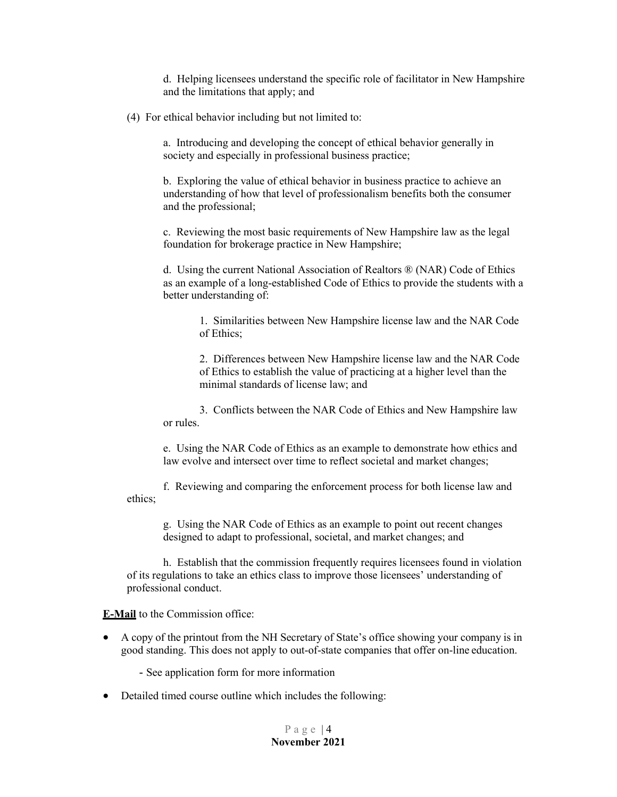d. Helping licensees understand the specific role of facilitator in New Hampshire and the limitations that apply; and

(4) For ethical behavior including but not limited to:

a. Introducing and developing the concept of ethical behavior generally in society and especially in professional business practice;

b. Exploring the value of ethical behavior in business practice to achieve an understanding of how that level of professionalism benefits both the consumer and the professional;

c. Reviewing the most basic requirements of New Hampshire law as the legal foundation for brokerage practice in New Hampshire;

d. Using the current National Association of Realtors ® (NAR) Code of Ethics as an example of a long-established Code of Ethics to provide the students with a better understanding of:

> 1. Similarities between New Hampshire license law and the NAR Code of Ethics;

> 2. Differences between New Hampshire license law and the NAR Code of Ethics to establish the value of practicing at a higher level than the minimal standards of license law; and

3. Conflicts between the NAR Code of Ethics and New Hampshire law or rules.

e. Using the NAR Code of Ethics as an example to demonstrate how ethics and law evolve and intersect over time to reflect societal and market changes;

f. Reviewing and comparing the enforcement process for both license law and ethics;

g. Using the NAR Code of Ethics as an example to point out recent changes designed to adapt to professional, societal, and market changes; and

h. Establish that the commission frequently requires licensees found in violation of its regulations to take an ethics class to improve those licensees' understanding of professional conduct.

**E-Mail** to the Commission office:

• A copy of the printout from the NH Secretary of State's office showing your company is in good standing. This does not apply to out-of-state companies that offer on-line education.

- See application form for more information

• Detailed timed course outline which includes the following: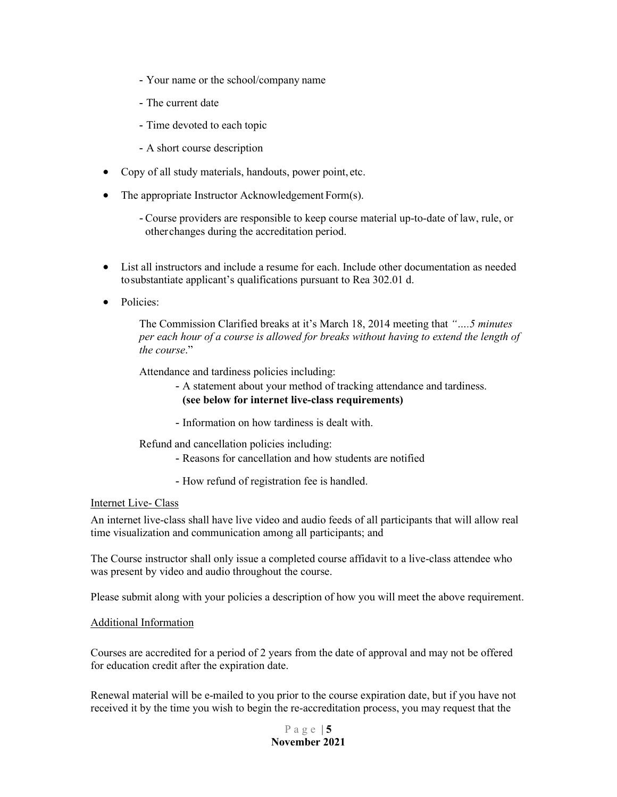- Your name or the school/company name
- The current date
- Time devoted to each topic
- A short course description
- Copy of all study materials, handouts, power point, etc.
- The appropriate Instructor Acknowledgement Form(s).
	- Course providers are responsible to keep course material up-to-date of law, rule, or otherchanges during the accreditation period.
- List all instructors and include a resume for each. Include other documentation as needed tosubstantiate applicant's qualifications pursuant to Rea 302.01 d.
- Policies:

The Commission Clarified breaks at it's March 18, 2014 meeting that *"….5 minutes per each hour of a course is allowed for breaks without having to extend the length of the course*."

Attendance and tardiness policies including:

- A statement about your method of tracking attendance and tardiness. **(see below for internet live-class requirements)**
- Information on how tardiness is dealt with.

Refund and cancellation policies including:

- Reasons for cancellation and how students are notified
- How refund of registration fee is handled.

#### Internet Live- Class

An internet live-class shall have live video and audio feeds of all participants that will allow real time visualization and communication among all participants; and

The Course instructor shall only issue a completed course affidavit to a live-class attendee who was present by video and audio throughout the course.

Please submit along with your policies a description of how you will meet the above requirement.

### Additional Information

Courses are accredited for a period of 2 years from the date of approval and may not be offered for education credit after the expiration date.

Renewal material will be e-mailed to you prior to the course expiration date, but if you have not received it by the time you wish to begin the re-accreditation process, you may request that the

> Page | **5 November 2021**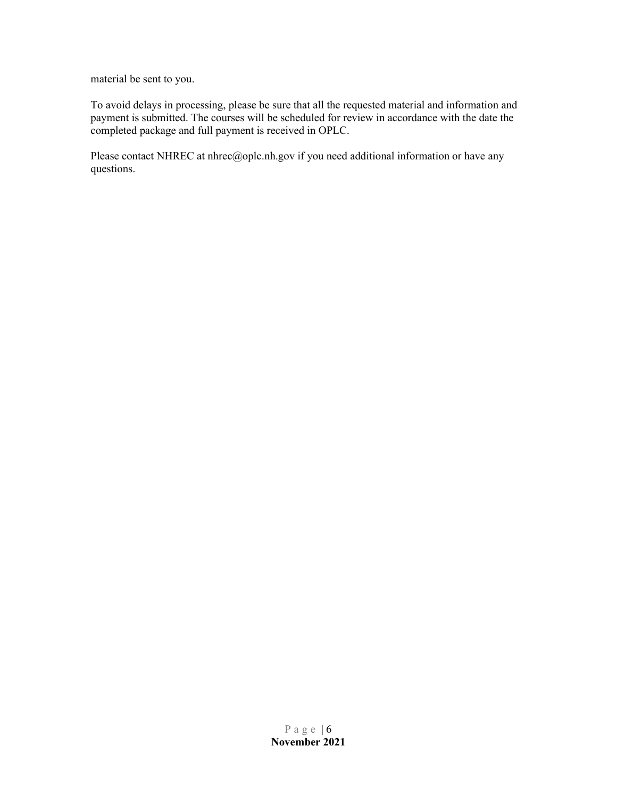material be sent to you.

To avoid delays in processing, please be sure that all the requested material and information and payment is submitted. The courses will be scheduled for review in accordance with the date the completed package and full payment is received in OPLC.

Please contact NHR[EC at nhrec@oplc.nh.gov i](mailto:nhrec@oplc.nh.gov)f you need additional information or have any questions.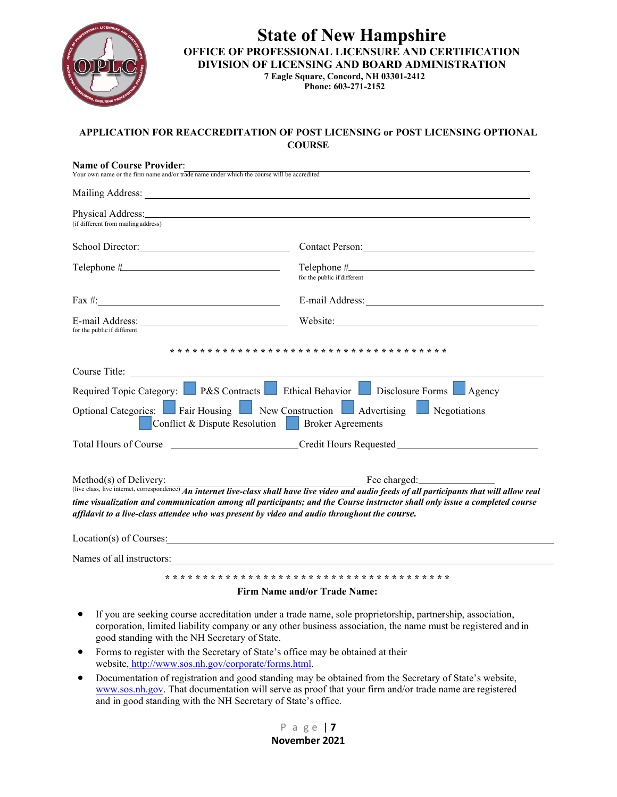

## **State of New Hampshire OFFICE OF PROFESSIONAL LICENSURE AND CERTIFICATION DIVISION OF LICENSING AND BOARD ADMINISTRATION 7 Eagle Square, Concord, NH 03301-2412**

**Phone: 603-271-2152**

### **APPLICATION FOR REACCREDITATION OF POST LICENSING or POST LICENSING OPTIONAL COURSE**

| <b>Name of Course Provider:</b><br>Your own name or the firm name and/or trade name under which the course will be accredited |                                                                                                                                                                                                                                                                                                                                                                                 |
|-------------------------------------------------------------------------------------------------------------------------------|---------------------------------------------------------------------------------------------------------------------------------------------------------------------------------------------------------------------------------------------------------------------------------------------------------------------------------------------------------------------------------|
|                                                                                                                               |                                                                                                                                                                                                                                                                                                                                                                                 |
| (if different from mailing address)                                                                                           | Physical Address: No. 1996. The Second Second Second Second Second Second Second Second Second Second Second Second Second Second Second Second Second Second Second Second Second Second Second Second Second Second Second S                                                                                                                                                  |
|                                                                                                                               | Contact Person:                                                                                                                                                                                                                                                                                                                                                                 |
|                                                                                                                               | for the public if different                                                                                                                                                                                                                                                                                                                                                     |
|                                                                                                                               |                                                                                                                                                                                                                                                                                                                                                                                 |
| for the public if different                                                                                                   |                                                                                                                                                                                                                                                                                                                                                                                 |
| Conflict & Dispute Resolution                                                                                                 | Required Topic Category: P&S Contracts El Ethical Behavior Disclosure Forms Agency<br>Optional Categories: Fair Housing New Construction Advertising<br>Negotiations<br><b>Broker Agreements</b>                                                                                                                                                                                |
|                                                                                                                               | Total Hours of Course _________________________Credit Hours Requested_______________________________                                                                                                                                                                                                                                                                            |
| Method(s) of Delivery:                                                                                                        | (live class, live internet, correspondence) An internet live-class shall have live video and audio feeds of all participants that will allow real<br>time visualization and communication among all participants; and the Course instructor shall only issue a completed course<br>affidavit to a live-class attendee who was present by video and audio throughout the course. |
|                                                                                                                               |                                                                                                                                                                                                                                                                                                                                                                                 |
| Names of all instructors:                                                                                                     |                                                                                                                                                                                                                                                                                                                                                                                 |
|                                                                                                                               |                                                                                                                                                                                                                                                                                                                                                                                 |

#### **Firm Name and/or Trade Name:**

- If you are seeking course accreditation under a trade name, sole proprietorship, partnership, association, corporation, limited liability company or any other business association, the name must be registered and in good standing with the NH Secretary of State.
- Forms to register with the Secretary of State's office may be obtained at their website, [http://www.sos.nh.gov/corporate/forms.html.](http://www.sos.nh.gov/corporate/forms.html)
- Documentation of registration and good standing may be obtained from the Secretary of State's website, [www.sos.nh.gov.](http://www.sos.nh.gov/) That documentation will serve as proof that your firm and/or trade name are registered and in good standing with the NH Secretary of State's office.

P a g e | **7 November 2021**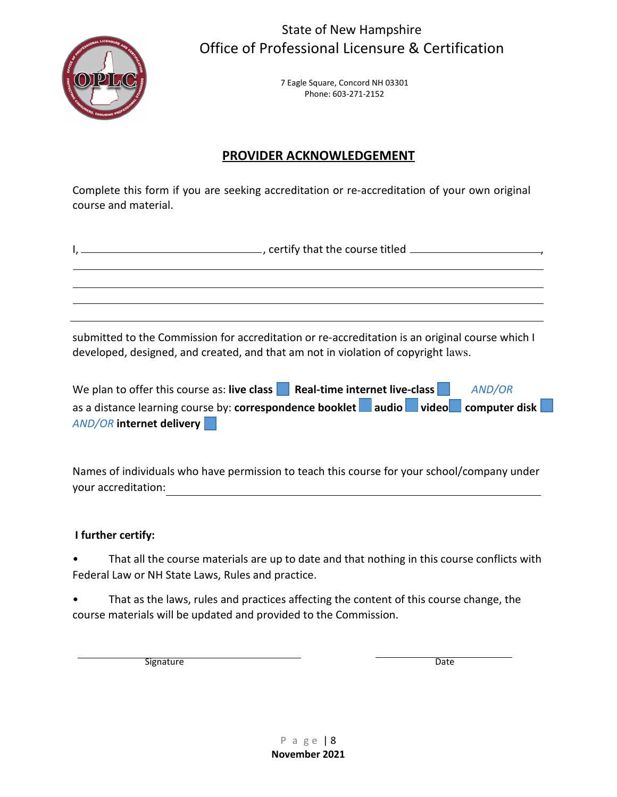

State of New Hampshire Office of Professional Licensure & Certification

> 7 Eagle Square, Concord NH 03301 Phone: 603-271-2152

# **PROVIDER ACKNOWLEDGEMENT**

Complete this form if you are seeking accreditation or re-accreditation of your own original course and material.

submitted to the Commission for accreditation or re-accreditation is an original course which I developed, designed, and created, and that am not in violation of copyright laws.

| We plan to offer this course as: live class Real-time internet live-class          | <b>AND/OR</b> |
|------------------------------------------------------------------------------------|---------------|
| as a distance learning course by: correspondence booklet audio video computer disk |               |
| <b>AND/OR internet delivery</b>                                                    |               |

Names of individuals who have permission to teach this course for your school/company under your accreditation:

### **I further certify:**

That all the course materials are up to date and that nothing in this course conflicts with Federal Law or NH State Laws, Rules and practice.

That as the laws, rules and practices affecting the content of this course change, the course materials will be updated and provided to the Commission.

Signature Date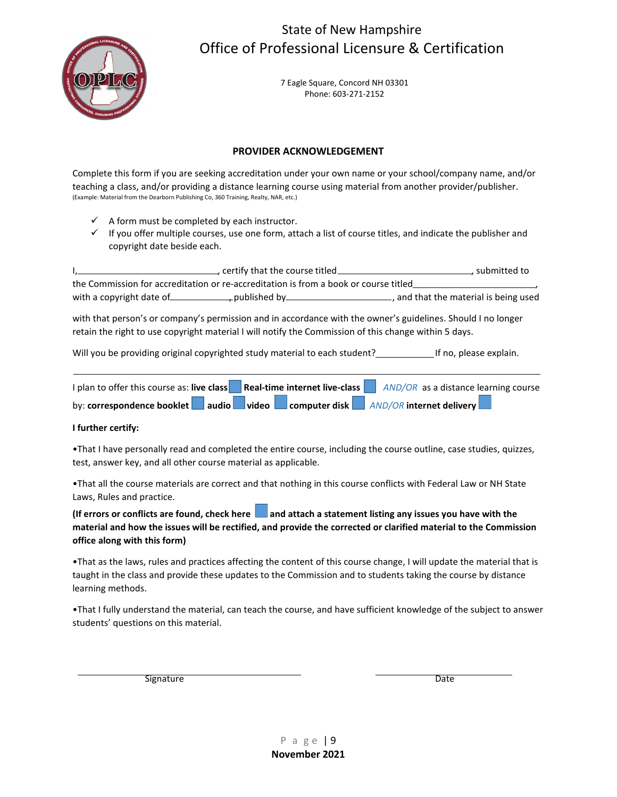# State of New Hampshire Office of Professional Licensure & Certification



7 Eagle Square, Concord NH 03301 Phone: 603-271-2152

#### **PROVIDER ACKNOWLEDGEMENT**

Complete this form if you are seeking accreditation under your own name or your school/company name, and/or teaching a class, and/or providing a distance learning course using material from another provider/publisher. (Example: Material from the Dearborn Publishing Co, 360 Training, Realty, NAR, etc.)

- $\checkmark$  A form must be completed by each instructor.
- $\checkmark$  If you offer multiple courses, use one form, attach a list of course titles, and indicate the publisher and copyright date beside each.

I, certify that the course titled **CONCOLOGY**, submitted to the Commission for accreditation or re-accreditation is from a book or course titled , with a copyright date of , published by , published by , and that the material is being used

with that person's or company's permission and in accordance with the owner's guidelines. Should I no longer retain the right to use copyright material I will notify the Commission of this change within 5 days.

Will you be providing original copyrighted study material to each student? [169] If no, please explain.

| I plan to offer this course as: live class | Real-time internet live-class |  |  | AND/OR as a distance learning course                     |
|--------------------------------------------|-------------------------------|--|--|----------------------------------------------------------|
| by: correspondence booklet                 |                               |  |  | audio   video   computer disk   AND/OR internet delivery |

#### **I further certify:**

•That I have personally read and completed the entire course, including the course outline, case studies, quizzes, test, answer key, and all other course material as applicable.

•That all the course materials are correct and that nothing in this course conflicts with Federal Law or NH State Laws, Rules and practice.

(If errors or conflicts are found, check here **a** and attach a statement listing any issues you have with the **material and how the issues will be rectified, and provide the corrected or clarified material to the Commission office along with this form)**

•That as the laws, rules and practices affecting the content of this course change, I will update the material that is taught in the class and provide these updates to the Commission and to students taking the course by distance learning methods.

•That I fully understand the material, can teach the course, and have sufficient knowledge of the subject to answer students' questions on this material.

Signature Date

P a g e | 9 **November 2021**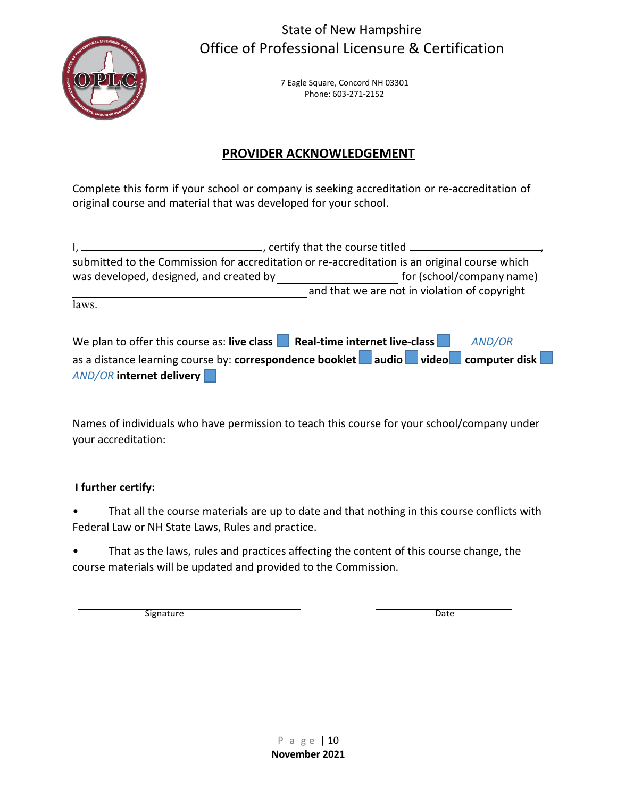

State of New Hampshire Office of Professional Licensure & Certification

> 7 Eagle Square, Concord NH 03301 Phone: 603-271-2152

# **PROVIDER ACKNOWLEDGEMENT**

Complete this form if your school or company is seeking accreditation or re-accreditation of original course and material that was developed for your school.

|                                                                           | ertify that the course titled entity that the course titled entity                            |
|---------------------------------------------------------------------------|-----------------------------------------------------------------------------------------------|
|                                                                           | submitted to the Commission for accreditation or re-accreditation is an original course which |
| was developed, designed, and created by                                   | for (school/company name)                                                                     |
|                                                                           | and that we are not in violation of copyright                                                 |
| laws.                                                                     |                                                                                               |
|                                                                           |                                                                                               |
| We plan to offer this course as: live class Real-time internet live-class | AND/OR                                                                                        |
|                                                                           | as a distance learning course by: correspondence booklet audio video video computer disk      |
| <b>AND/OR internet delivery</b>                                           |                                                                                               |

Names of individuals who have permission to teach this course for your school/company under your accreditation:

## **I further certify:**

• That all the course materials are up to date and that nothing in this course conflicts with Federal Law or NH State Laws, Rules and practice.

• That as the laws, rules and practices affecting the content of this course change, the course materials will be updated and provided to the Commission.

Signature Date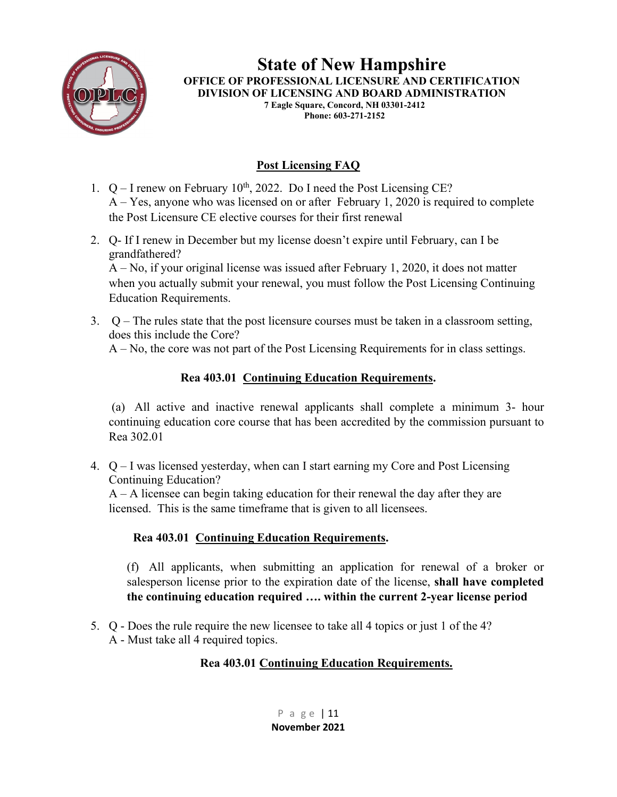

**State of New Hampshire OFFICE OF PROFESSIONAL LICENSURE AND CERTIFICATION DIVISION OF LICENSING AND BOARD ADMINISTRATION 7 Eagle Square, Concord, NH 03301-2412 Phone: 603-271-2152**

# **Post Licensing FAQ**

- 1.  $Q I$  renew on February 10<sup>th</sup>, 2022. Do I need the Post Licensing CE? A – Yes, anyone who was licensed on or after February 1, 2020 is required to complete the Post Licensure CE elective courses for their first renewal
- 2. Q- If I renew in December but my license doesn't expire until February, can I be grandfathered? A – No, if your original license was issued after February 1, 2020, it does not matter when you actually submit your renewal, you must follow the Post Licensing Continuing Education Requirements.
- 3. Q The rules state that the post licensure courses must be taken in a classroom setting, does this include the Core? A – No, the core was not part of the Post Licensing Requirements for in class settings.

## **Rea 403.01 Continuing Education Requirements.**

(a) All active and inactive renewal applicants shall complete a minimum 3- hour continuing education core course that has been accredited by the commission pursuant to Rea 302.01

4. Q – I was licensed yesterday, when can I start earning my Core and Post Licensing Continuing Education?

 $A - A$  licensee can begin taking education for their renewal the day after they are licensed. This is the same timeframe that is given to all licensees.

# **Rea 403.01 Continuing Education Requirements.**

(f) All applicants, when submitting an application for renewal of a broker or salesperson license prior to the expiration date of the license, **shall have completed the continuing education required …. within the current 2-year license period**

5. Q - Does the rule require the new licensee to take all 4 topics or just 1 of the 4? A - Must take all 4 required topics.

## **Rea 403.01 Continuing Education Requirements.**

P a g e | 11 **November 2021**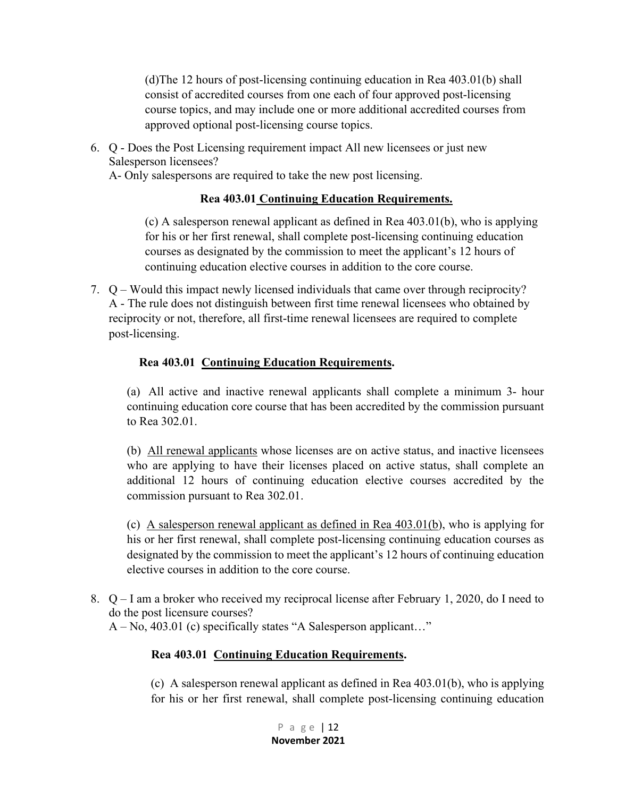(d)The 12 hours of post-licensing continuing education in Rea 403.01(b) shall consist of accredited courses from one each of four approved post-licensing course topics, and may include one or more additional accredited courses from approved optional post-licensing course topics.

6. Q - Does the Post Licensing requirement impact All new licensees or just new Salesperson licensees?

A- Only salespersons are required to take the new post licensing.

### **Rea 403.01 Continuing Education Requirements.**

(c) A salesperson renewal applicant as defined in Rea 403.01(b), who is applying for his or her first renewal, shall complete post-licensing continuing education courses as designated by the commission to meet the applicant's 12 hours of continuing education elective courses in addition to the core course.

7. Q – Would this impact newly licensed individuals that came over through reciprocity? A - The rule does not distinguish between first time renewal licensees who obtained by reciprocity or not, therefore, all first-time renewal licensees are required to complete post-licensing.

## **Rea 403.01 Continuing Education Requirements.**

(a) All active and inactive renewal applicants shall complete a minimum 3- hour continuing education core course that has been accredited by the commission pursuant to Rea 302.01.

(b) All renewal applicants whose licenses are on active status, and inactive licensees who are applying to have their licenses placed on active status, shall complete an additional 12 hours of continuing education elective courses accredited by the commission pursuant to Rea 302.01.

(c) A salesperson renewal applicant as defined in Rea 403.01(b), who is applying for his or her first renewal, shall complete post-licensing continuing education courses as designated by the commission to meet the applicant's 12 hours of continuing education elective courses in addition to the core course.

8. Q – I am a broker who received my reciprocal license after February 1, 2020, do I need to do the post licensure courses? A – No, 403.01 (c) specifically states "A Salesperson applicant…"

## **Rea 403.01 Continuing Education Requirements.**

(c) A salesperson renewal applicant as defined in Rea 403.01(b), who is applying for his or her first renewal, shall complete post-licensing continuing education